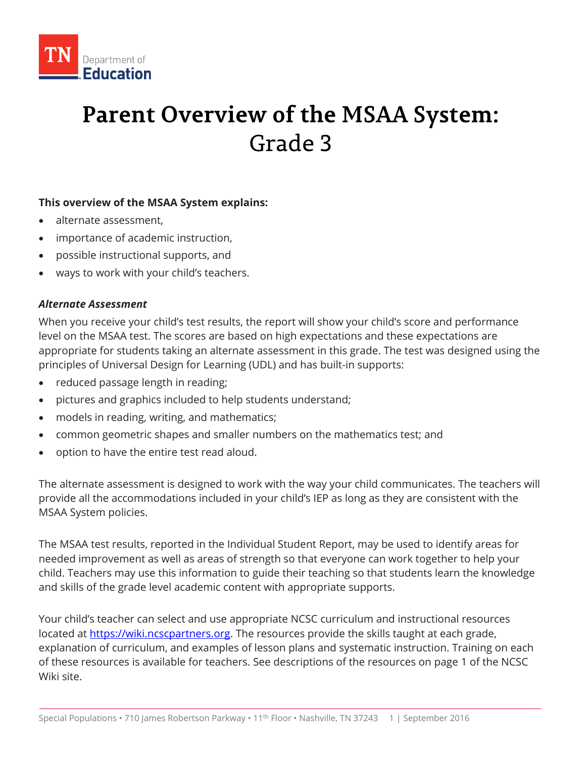

# **Parent Overview of the MSAA System:** Grade 3

### **This overview of the MSAA System explains:**

- alternate assessment,
- importance of academic instruction,
- possible instructional supports, and
- ways to work with your child's teachers.

### *Alternate Assessment*

When you receive your child's test results, the report will show your child's score and performance level on the MSAA test. The scores are based on high expectations and these expectations are appropriate for students taking an alternate assessment in this grade. The test was designed using the principles of Universal Design for Learning (UDL) and has built-in supports:

- reduced passage length in reading;
- pictures and graphics included to help students understand;
- models in reading, writing, and mathematics;
- common geometric shapes and smaller numbers on the mathematics test; and
- option to have the entire test read aloud.

The alternate assessment is designed to work with the way your child communicates. The teachers will provide all the accommodations included in your child's IEP as long as they are consistent with the MSAA System policies.

The MSAA test results, reported in the Individual Student Report, may be used to identify areas for needed improvement as well as areas of strength so that everyone can work together to help your child. Teachers may use this information to guide their teaching so that students learn the knowledge and skills of the grade level academic content with appropriate supports.

Your child's teacher can select and use appropriate NCSC curriculum and instructional resources located at [https://wiki.ncscpartners.org.](https://wiki.ncscpartners.org/) The resources provide the skills taught at each grade, explanation of curriculum, and examples of lesson plans and systematic instruction. Training on each of these resources is available for teachers. See descriptions of the resources on page 1 of the NCSC Wiki site.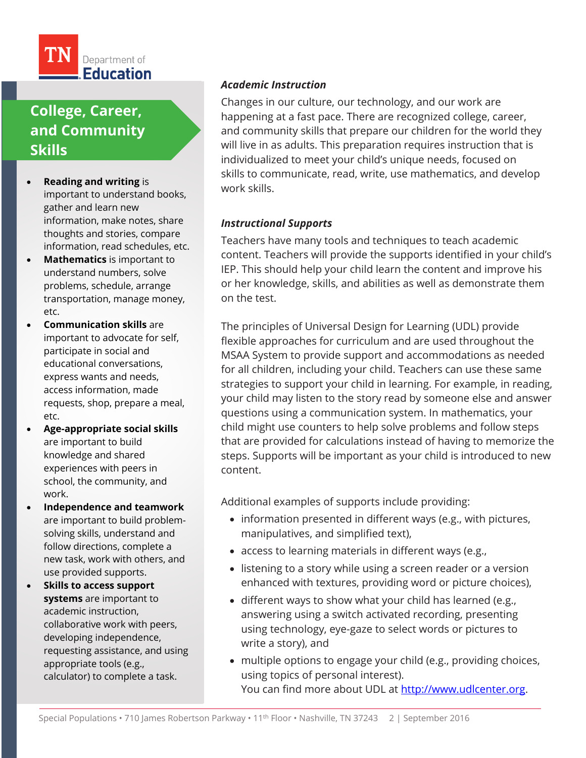

# **College, Career, and Community Skills**

- **Reading and writing** is important to understand books, gather and learn new information, make notes, share thoughts and stories, compare information, read schedules, etc.
- **Mathematics** is important to understand numbers, solve problems, schedule, arrange transportation, manage money, etc.
- **Communication skills** are important to advocate for self, participate in social and educational conversations, express wants and needs, access information, made requests, shop, prepare a meal, etc.
- **Age-appropriate social skills**  are important to build knowledge and shared experiences with peers in school, the community, and work.
- **Independence and teamwork**  are important to build problemsolving skills, understand and follow directions, complete a new task, work with others, and use provided supports.
- **Skills to access support systems** are important to academic instruction, collaborative work with peers, developing independence, requesting assistance, and using appropriate tools (e.g., calculator) to complete a task.

### *Academic Instruction*

Changes in our culture, our technology, and our work are happening at a fast pace. There are recognized college, career, and community skills that prepare our children for the world they will live in as adults. This preparation requires instruction that is individualized to meet your child's unique needs, focused on skills to communicate, read, write, use mathematics, and develop work skills.

### *Instructional Supports*

Teachers have many tools and techniques to teach academic content. Teachers will provide the supports identified in your child's IEP. This should help your child learn the content and improve his or her knowledge, skills, and abilities as well as demonstrate them on the test.

The principles of Universal Design for Learning (UDL) provide flexible approaches for curriculum and are used throughout the MSAA System to provide support and accommodations as needed for all children, including your child. Teachers can use these same strategies to support your child in learning. For example, in reading, your child may listen to the story read by someone else and answer questions using a communication system. In mathematics, your child might use counters to help solve problems and follow steps that are provided for calculations instead of having to memorize the steps. Supports will be important as your child is introduced to new content.

Additional examples of supports include providing:

- information presented in different ways (e.g., with pictures, manipulatives, and simplified text),
- access to learning materials in different ways (e.g.,
- listening to a story while using a screen reader or a version enhanced with textures, providing word or picture choices),
- different ways to show what your child has learned (e.g., answering using a switch activated recording, presenting using technology, eye-gaze to select words or pictures to write a story), and
- multiple options to engage your child (e.g., providing choices, using topics of personal interest). You can find more about UDL at [http://www.udlcenter.org.](http://www.udlcenter.org/)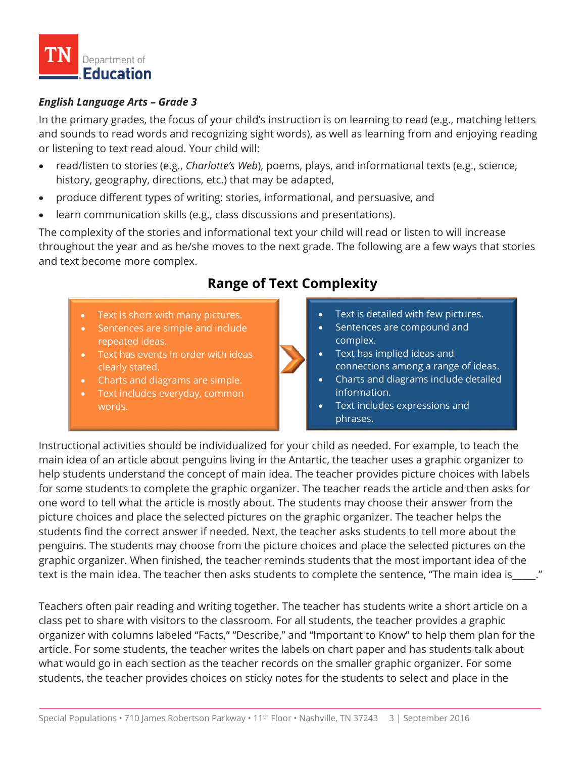

### *English Language Arts – Grade 3*

In the primary grades, the focus of your child's instruction is on learning to read (e.g., matching letters and sounds to read words and recognizing sight words), as well as learning from and enjoying reading or listening to text read aloud. Your child will:

- read/listen to stories (e.g., *Charlotte's Web*), poems, plays, and informational texts (e.g., science, history, geography, directions, etc.) that may be adapted,
- produce different types of writing: stories, informational, and persuasive, and
- learn communication skills (e.g., class discussions and presentations).

The complexity of the stories and informational text your child will read or listen to will increase throughout the year and as he/she moves to the next grade. The following are a few ways that stories and text become more complex.

# **Range of Text Complexity**

- Text is short with many pictures.
- Sentences are simple and include repeated ideas.
- Text has events in order with ideas clearly stated.
- Charts and diagrams are simple.
- Text includes everyday, common words.



- Sentences are compound and complex.
- Text has implied ideas and connections among a range of ideas.
- Charts and diagrams include detailed information.
- Text includes expressions and phrases.

Instructional activities should be individualized for your child as needed. For example, to teach the main idea of an article about penguins living in the Antartic, the teacher uses a graphic organizer to help students understand the concept of main idea. The teacher provides picture choices with labels for some students to complete the graphic organizer. The teacher reads the article and then asks for one word to tell what the article is mostly about. The students may choose their answer from the picture choices and place the selected pictures on the graphic organizer. The teacher helps the students find the correct answer if needed. Next, the teacher asks students to tell more about the penguins. The students may choose from the picture choices and place the selected pictures on the graphic organizer. When finished, the teacher reminds students that the most important idea of the text is the main idea. The teacher then asks students to complete the sentence, "The main idea is\_\_\_\_\_."

Teachers often pair reading and writing together. The teacher has students write a short article on a class pet to share with visitors to the classroom. For all students, the teacher provides a graphic organizer with columns labeled "Facts," "Describe," and "Important to Know" to help them plan for the article. For some students, the teacher writes the labels on chart paper and has students talk about what would go in each section as the teacher records on the smaller graphic organizer. For some students, the teacher provides choices on sticky notes for the students to select and place in the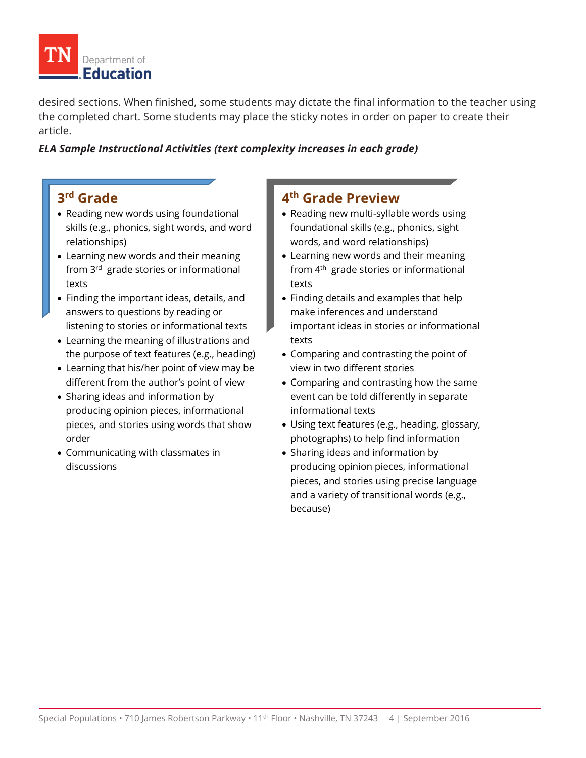

desired sections. When finished, some students may dictate the final information to the teacher using the completed chart. Some students may place the sticky notes in order on paper to create their article.

### *ELA Sample Instructional Activities (text complexity increases in each grade)*

# **3rd Grade**

- Reading new words using foundational skills (e.g., phonics, sight words, and word relationships)
- Learning new words and their meaning from 3<sup>rd</sup> grade stories or informational texts
- Finding the important ideas, details, and answers to questions by reading or listening to stories or informational texts
- Learning the meaning of illustrations and the purpose of text features (e.g., heading)
- Learning that his/her point of view may be different from the author's point of view
- Sharing ideas and information by producing opinion pieces, informational pieces, and stories using words that show order
- Communicating with classmates in discussions

### **4th Grade Preview**

- Reading new multi-syllable words using foundational skills (e.g., phonics, sight words, and word relationships)
- Learning new words and their meaning from  $4<sup>th</sup>$  grade stories or informational texts
- Finding details and examples that help make inferences and understand important ideas in stories or informational texts
- Comparing and contrasting the point of view in two different stories
- Comparing and contrasting how the same event can be told differently in separate informational texts
- Using text features (e.g., heading, glossary, photographs) to help find information
- Sharing ideas and information by producing opinion pieces, informational pieces, and stories using precise language and a variety of transitional words (e.g., because)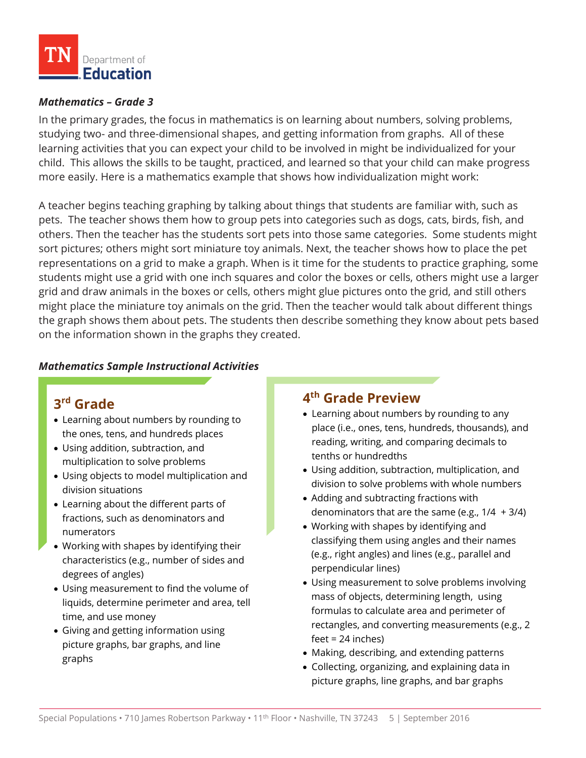

### *Mathematics – Grade 3*

In the primary grades, the focus in mathematics is on learning about numbers, solving problems, studying two- and three-dimensional shapes, and getting information from graphs. All of these learning activities that you can expect your child to be involved in might be individualized for your child. This allows the skills to be taught, practiced, and learned so that your child can make progress more easily. Here is a mathematics example that shows how individualization might work:

A teacher begins teaching graphing by talking about things that students are familiar with, such as pets. The teacher shows them how to group pets into categories such as dogs, cats, birds, fish, and others. Then the teacher has the students sort pets into those same categories. Some students might sort pictures; others might sort miniature toy animals. Next, the teacher shows how to place the pet representations on a grid to make a graph. When is it time for the students to practice graphing, some students might use a grid with one inch squares and color the boxes or cells, others might use a larger grid and draw animals in the boxes or cells, others might glue pictures onto the grid, and still others might place the miniature toy animals on the grid. Then the teacher would talk about different things the graph shows them about pets. The students then describe something they know about pets based on the information shown in the graphs they created.

### *Mathematics Sample Instructional Activities*

### **3rd Grade**

- Learning about numbers by rounding to the ones, tens, and hundreds places
- Using addition, subtraction, and multiplication to solve problems
- Using objects to model multiplication and division situations
- Learning about the different parts of fractions, such as denominators and numerators
- Working with shapes by identifying their characteristics (e.g., number of sides and degrees of angles)
- Using measurement to find the volume of liquids, determine perimeter and area, tell time, and use money
- Giving and getting information using picture graphs, bar graphs, and line graphs

# **4th Grade Preview**

- Learning about numbers by rounding to any place (i.e., ones, tens, hundreds, thousands), and reading, writing, and comparing decimals to tenths or hundredths
- Using addition, subtraction, multiplication, and division to solve problems with whole numbers
- Adding and subtracting fractions with denominators that are the same (e.g.,  $1/4 + 3/4$ )
- Working with shapes by identifying and classifying them using angles and their names (e.g., right angles) and lines (e.g., parallel and perpendicular lines)
- Using measurement to solve problems involving mass of objects, determining length, using formulas to calculate area and perimeter of rectangles, and converting measurements (e.g., 2 feet = 24 inches)
- Making, describing, and extending patterns
- Collecting, organizing, and explaining data in picture graphs, line graphs, and bar graphs